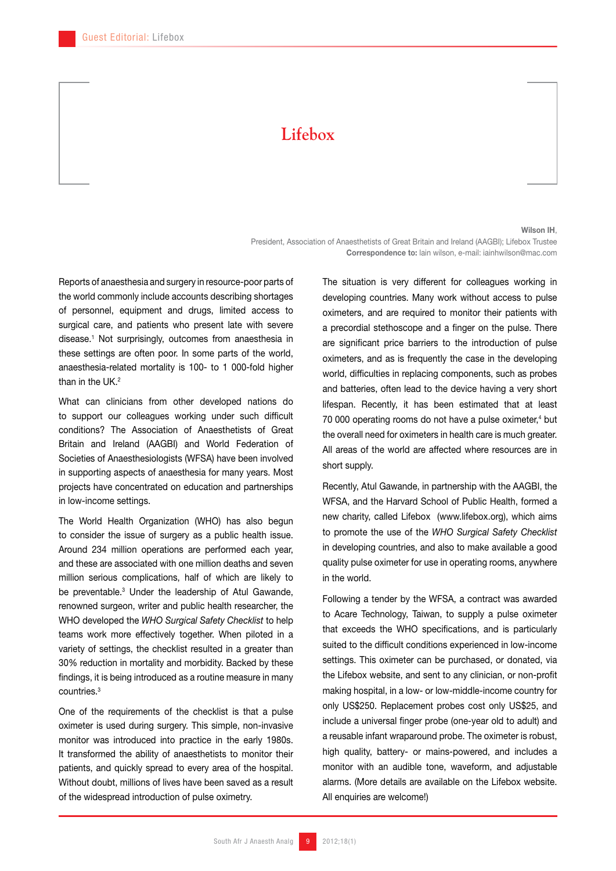## **Lifebox**

## Wilson IH,

President, Association of Anaesthetists of Great Britain and Ireland (AAGBI); Lifebox Trustee Correspondence to: lain wilson, e-mail: iainhwilson@mac.com

Reports of anaesthesia and surgery in resource-poor parts of the world commonly include accounts describing shortages of personnel, equipment and drugs, limited access to surgical care, and patients who present late with severe disease.1 Not surprisingly, outcomes from anaesthesia in these settings are often poor. In some parts of the world, anaesthesia-related mortality is 100- to 1 000-fold higher than in the  $I$  IK  $2$ 

What can clinicians from other developed nations do to support our colleagues working under such difficult conditions? The Association of Anaesthetists of Great Britain and Ireland (AAGBI) and World Federation of Societies of Anaesthesiologists (WFSA) have been involved in supporting aspects of anaesthesia for many years. Most projects have concentrated on education and partnerships in low-income settings.

The World Health Organization (WHO) has also begun to consider the issue of surgery as a public health issue. Around 234 million operations are performed each year, and these are associated with one million deaths and seven million serious complications, half of which are likely to be preventable.3 Under the leadership of Atul Gawande, renowned surgeon, writer and public health researcher, the WHO developed the *WHO Surgical Safety Checklist* to help teams work more effectively together. When piloted in a variety of settings, the checklist resulted in a greater than 30% reduction in mortality and morbidity. Backed by these findings, it is being introduced as a routine measure in many countries.3

One of the requirements of the checklist is that a pulse oximeter is used during surgery. This simple, non-invasive monitor was introduced into practice in the early 1980s. It transformed the ability of anaesthetists to monitor their patients, and quickly spread to every area of the hospital. Without doubt, millions of lives have been saved as a result of the widespread introduction of pulse oximetry.

The situation is very different for colleagues working in developing countries. Many work without access to pulse oximeters, and are required to monitor their patients with a precordial stethoscope and a finger on the pulse. There are significant price barriers to the introduction of pulse oximeters, and as is frequently the case in the developing world, difficulties in replacing components, such as probes and batteries, often lead to the device having a very short lifespan. Recently, it has been estimated that at least 70 000 operating rooms do not have a pulse oximeter,<sup>4</sup> but the overall need for oximeters in health care is much greater. All areas of the world are affected where resources are in short supply.

Recently, Atul Gawande, in partnership with the AAGBI, the WFSA, and the Harvard School of Public Health, formed a new charity, called Lifebox (www.lifebox.org), which aims to promote the use of the *WHO Surgical Safety Checklist* in developing countries, and also to make available a good quality pulse oximeter for use in operating rooms, anywhere in the world.

Following a tender by the WFSA, a contract was awarded to Acare Technology, Taiwan, to supply a pulse oximeter that exceeds the WHO specifications, and is particularly suited to the difficult conditions experienced in low-income settings. This oximeter can be purchased, or donated, via the Lifebox website, and sent to any clinician, or non-profit making hospital, in a low- or low-middle-income country for only US\$250. Replacement probes cost only US\$25, and include a universal finger probe (one-year old to adult) and a reusable infant wraparound probe. The oximeter is robust, high quality, battery- or mains-powered, and includes a monitor with an audible tone, waveform, and adjustable alarms. (More details are available on the Lifebox website. All enquiries are welcome!)